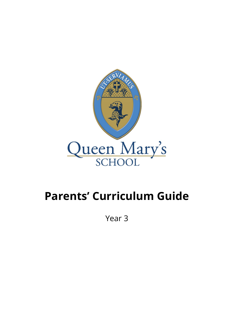

## **Parents' Curriculum Guide**

Year 3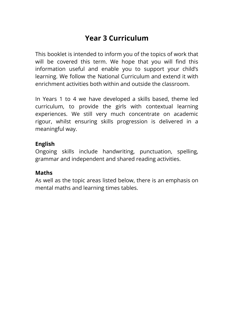## **Year 3 Curriculum**

This booklet is intended to inform you of the topics of work that will be covered this term. We hope that you will find this information useful and enable you to support your child's learning. We follow the National Curriculum and extend it with enrichment activities both within and outside the classroom.

In Years 1 to 4 we have developed a skills based, theme led curriculum, to provide the girls with contextual learning experiences. We still very much concentrate on academic rigour, whilst ensuring skills progression is delivered in a meaningful way.

## **English**

Ongoing skills include handwriting, punctuation, spelling, grammar and independent and shared reading activities.

## **Maths**

As well as the topic areas listed below, there is an emphasis on mental maths and learning times tables.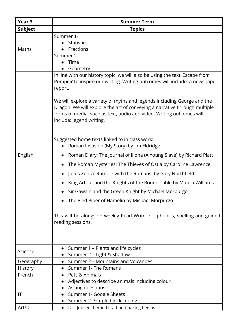| Year <sub>3</sub> | <b>Summer Term</b>                                                                                                                                                                                                                                                                                                                                                                                                                                                                                                                                                                                                                                                                                                                                                                                                                                                                                                                                                                                                                |
|-------------------|-----------------------------------------------------------------------------------------------------------------------------------------------------------------------------------------------------------------------------------------------------------------------------------------------------------------------------------------------------------------------------------------------------------------------------------------------------------------------------------------------------------------------------------------------------------------------------------------------------------------------------------------------------------------------------------------------------------------------------------------------------------------------------------------------------------------------------------------------------------------------------------------------------------------------------------------------------------------------------------------------------------------------------------|
| <b>Subject</b>    | <b>Topics</b>                                                                                                                                                                                                                                                                                                                                                                                                                                                                                                                                                                                                                                                                                                                                                                                                                                                                                                                                                                                                                     |
| Maths             | Summer 1-<br><b>Statistics</b><br>Fractions<br><u>Summer 2 -</u><br>Time<br>Geometry                                                                                                                                                                                                                                                                                                                                                                                                                                                                                                                                                                                                                                                                                                                                                                                                                                                                                                                                              |
| English           | In line with our history topic, we will also be using the text 'Escape from<br>Pompeii' to inspire our writing. Writing outcomes will include: a newspaper<br>report.<br>We will explore a variety of myths and legends including George and the<br>Dragon. We will explore the art of conveying a narrative through multiple<br>forms of media, such as text, audio and video. Writing outcomes will<br>include: legend writing.<br>Suggested home texts linked to in class work:<br>Roman Invasion (My Story) by Jim Eldridge<br>$\bullet$<br>Roman Diary: The Journal of Iliona (A Young Slave) by Richard Platt<br>The Roman Mysteries: The Thieves of Ostia by Caroline Lawrence<br>Julius Zebra: Rumble with the Romans! by Gary Northfield<br>King Arthur and the Knights of the Round Table by Marcia Williams<br>Sir Gawain and the Green Knight by Michael Morpurgo<br>The Pied Piper of Hamelin by Michael Morpurgo<br>This will be alongside weekly Read Write Inc. phonics, spelling and guided<br>reading sessions. |
| Science           | Summer 1 - Plants and life cycles<br>Summer 2 - Light & Shadow                                                                                                                                                                                                                                                                                                                                                                                                                                                                                                                                                                                                                                                                                                                                                                                                                                                                                                                                                                    |
| Geography         | Summer 2 - Mountains and Volcanoes<br>$\bullet$                                                                                                                                                                                                                                                                                                                                                                                                                                                                                                                                                                                                                                                                                                                                                                                                                                                                                                                                                                                   |
| History           | Summer 1- The Romans                                                                                                                                                                                                                                                                                                                                                                                                                                                                                                                                                                                                                                                                                                                                                                                                                                                                                                                                                                                                              |
| French            | Pets & Animals<br>Adjectives to describe animals including colour.<br>Asking questions                                                                                                                                                                                                                                                                                                                                                                                                                                                                                                                                                                                                                                                                                                                                                                                                                                                                                                                                            |
| IT                | Summer 1- Google Sheets                                                                                                                                                                                                                                                                                                                                                                                                                                                                                                                                                                                                                                                                                                                                                                                                                                                                                                                                                                                                           |
|                   | Summer 2- Simple block coding                                                                                                                                                                                                                                                                                                                                                                                                                                                                                                                                                                                                                                                                                                                                                                                                                                                                                                                                                                                                     |
| Art/DT            | DT- Jubilee themed craft and baking begins.                                                                                                                                                                                                                                                                                                                                                                                                                                                                                                                                                                                                                                                                                                                                                                                                                                                                                                                                                                                       |